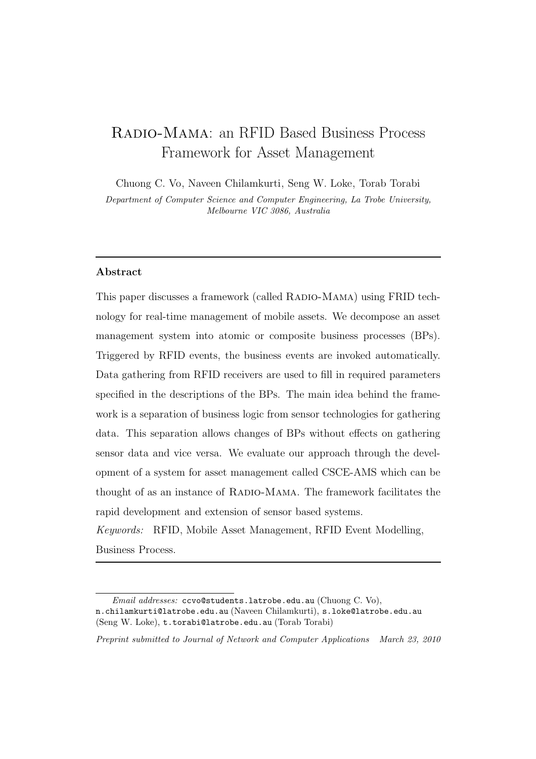# Radio-Mama: an RFID Based Business Process Framework for Asset Management

Chuong C. Vo, Naveen Chilamkurti, Seng W. Loke, Torab Torabi

Department of Computer Science and Computer Engineering, La Trobe University, Melbourne VIC 3086, Australia

### Abstract

This paper discusses a framework (called RADIO-MAMA) using FRID technology for real-time management of mobile assets. We decompose an asset management system into atomic or composite business processes (BPs). Triggered by RFID events, the business events are invoked automatically. Data gathering from RFID receivers are used to fill in required parameters specified in the descriptions of the BPs. The main idea behind the framework is a separation of business logic from sensor technologies for gathering data. This separation allows changes of BPs without effects on gathering sensor data and vice versa. We evaluate our approach through the development of a system for asset management called CSCE-AMS which can be thought of as an instance of RADIO-MAMA. The framework facilitates the rapid development and extension of sensor based systems.

*Keywords:* RFID, Mobile Asset Management, RFID Event Modelling, Business Process.

Preprint submitted to Journal of Network and Computer Applications March 23, 2010

Email addresses: ccvo@students.latrobe.edu.au (Chuong C. Vo), n.chilamkurti@latrobe.edu.au (Naveen Chilamkurti), s.loke@latrobe.edu.au (Seng W. Loke), t.torabi@latrobe.edu.au (Torab Torabi)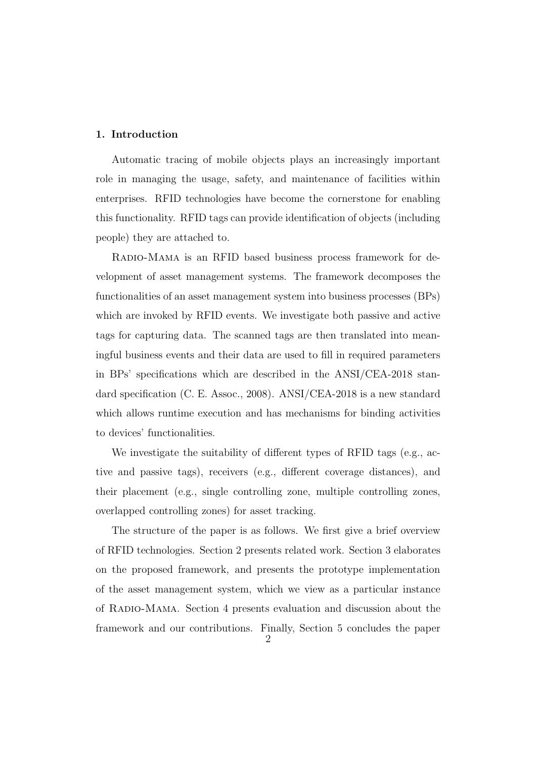## 1. Introduction

Automatic tracing of mobile objects plays an increasingly important role in managing the usage, safety, and maintenance of facilities within enterprises. RFID technologies have become the cornerstone for enabling this functionality. RFID tags can provide identification of objects (including people) they are attached to.

Radio-Mama is an RFID based business process framework for development of asset management systems. The framework decomposes the functionalities of an asset management system into business processes (BPs) which are invoked by RFID events. We investigate both passive and active tags for capturing data. The scanned tags are then translated into meaningful business events and their data are used to fill in required parameters in BPs' specifications which are described in the ANSI/CEA-2018 standard specification (C. E. Assoc., 2008). ANSI/CEA-2018 is a new standard which allows runtime execution and has mechanisms for binding activities to devices' functionalities.

We investigate the suitability of different types of RFID tags (e.g., active and passive tags), receivers (e.g., different coverage distances), and their placement (e.g., single controlling zone, multiple controlling zones, overlapped controlling zones) for asset tracking.

The structure of the paper is as follows. We first give a brief overview of RFID technologies. Section 2 presents related work. Section 3 elaborates on the proposed framework, and presents the prototype implementation of the asset management system, which we view as a particular instance of Radio-Mama. Section 4 presents evaluation and discussion about the framework and our contributions. Finally, Section 5 concludes the paper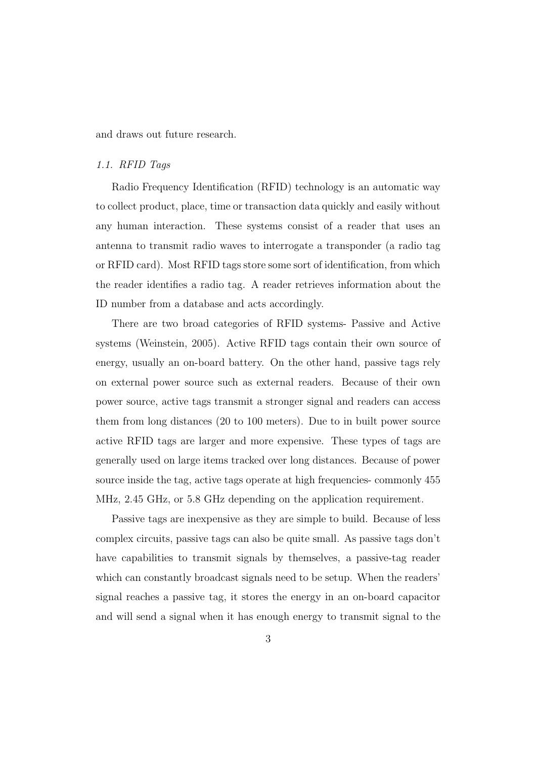and draws out future research.

#### *1.1. RFID Tags*

Radio Frequency Identification (RFID) technology is an automatic way to collect product, place, time or transaction data quickly and easily without any human interaction. These systems consist of a reader that uses an antenna to transmit radio waves to interrogate a transponder (a radio tag or RFID card). Most RFID tags store some sort of identification, from which the reader identifies a radio tag. A reader retrieves information about the ID number from a database and acts accordingly.

There are two broad categories of RFID systems- Passive and Active systems (Weinstein, 2005). Active RFID tags contain their own source of energy, usually an on-board battery. On the other hand, passive tags rely on external power source such as external readers. Because of their own power source, active tags transmit a stronger signal and readers can access them from long distances (20 to 100 meters). Due to in built power source active RFID tags are larger and more expensive. These types of tags are generally used on large items tracked over long distances. Because of power source inside the tag, active tags operate at high frequencies- commonly 455 MHz, 2.45 GHz, or 5.8 GHz depending on the application requirement.

Passive tags are inexpensive as they are simple to build. Because of less complex circuits, passive tags can also be quite small. As passive tags don't have capabilities to transmit signals by themselves, a passive-tag reader which can constantly broadcast signals need to be setup. When the readers' signal reaches a passive tag, it stores the energy in an on-board capacitor and will send a signal when it has enough energy to transmit signal to the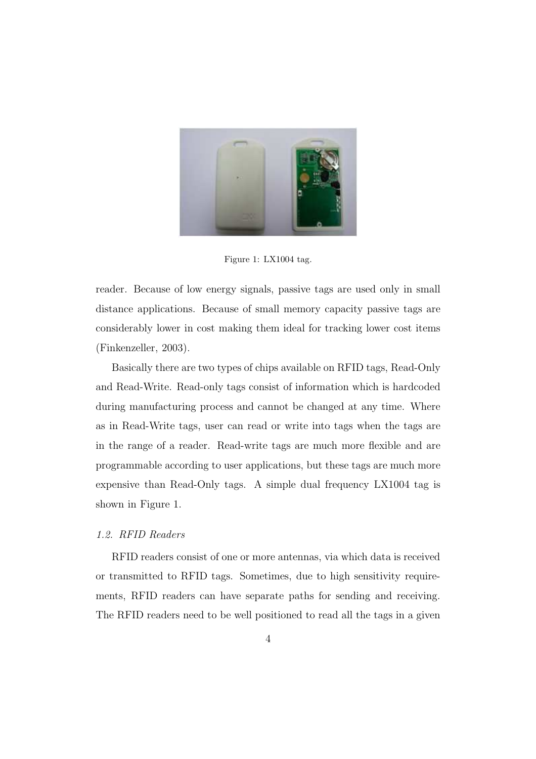

Figure 1: LX1004 tag.

reader. Because of low energy signals, passive tags are used only in small distance applications. Because of small memory capacity passive tags are considerably lower in cost making them ideal for tracking lower cost items (Finkenzeller, 2003).

Basically there are two types of chips available on RFID tags, Read-Only and Read-Write. Read-only tags consist of information which is hardcoded during manufacturing process and cannot be changed at any time. Where as in Read-Write tags, user can read or write into tags when the tags are in the range of a reader. Read-write tags are much more flexible and are programmable according to user applications, but these tags are much more expensive than Read-Only tags. A simple dual frequency LX1004 tag is shown in Figure 1.

## *1.2. RFID Readers*

RFID readers consist of one or more antennas, via which data is received or transmitted to RFID tags. Sometimes, due to high sensitivity requirements, RFID readers can have separate paths for sending and receiving. The RFID readers need to be well positioned to read all the tags in a given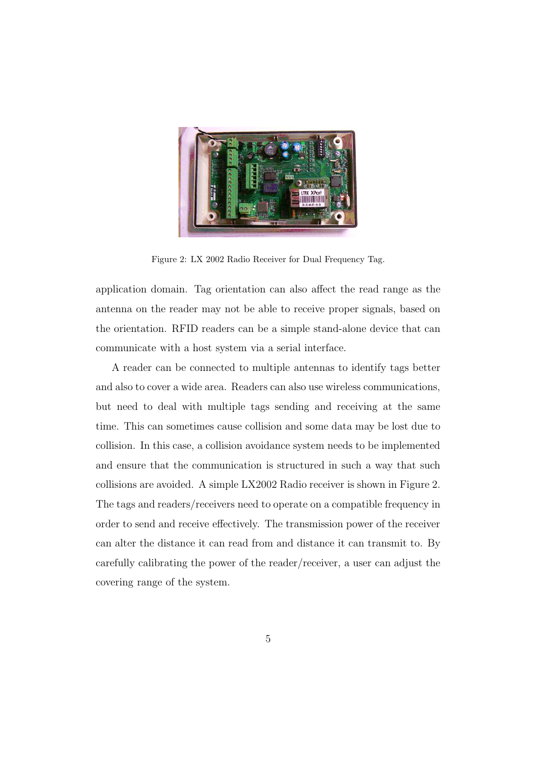

Figure 2: LX 2002 Radio Receiver for Dual Frequency Tag.

application domain. Tag orientation can also affect the read range as the antenna on the reader may not be able to receive proper signals, based on the orientation. RFID readers can be a simple stand-alone device that can communicate with a host system via a serial interface.

A reader can be connected to multiple antennas to identify tags better and also to cover a wide area. Readers can also use wireless communications, but need to deal with multiple tags sending and receiving at the same time. This can sometimes cause collision and some data may be lost due to collision. In this case, a collision avoidance system needs to be implemented and ensure that the communication is structured in such a way that such collisions are avoided. A simple LX2002 Radio receiver is shown in Figure 2. The tags and readers/receivers need to operate on a compatible frequency in order to send and receive effectively. The transmission power of the receiver can alter the distance it can read from and distance it can transmit to. By carefully calibrating the power of the reader/receiver, a user can adjust the covering range of the system.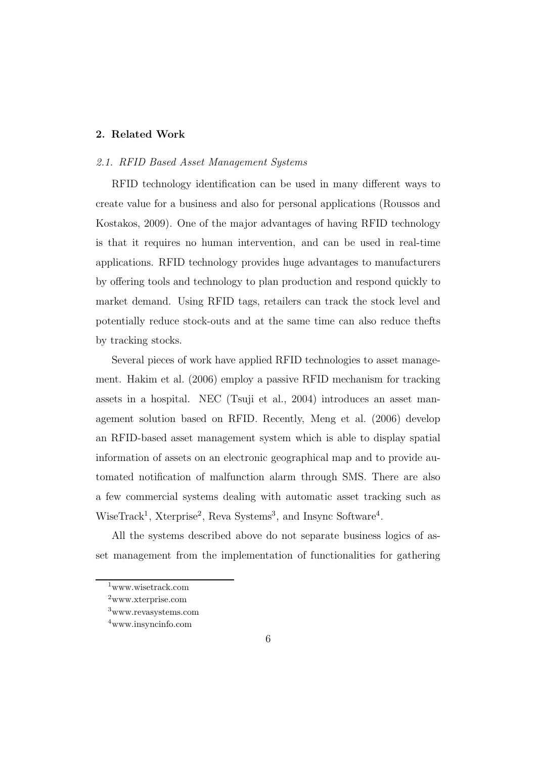#### 2. Related Work

## *2.1. RFID Based Asset Management Systems*

RFID technology identification can be used in many different ways to create value for a business and also for personal applications (Roussos and Kostakos, 2009). One of the major advantages of having RFID technology is that it requires no human intervention, and can be used in real-time applications. RFID technology provides huge advantages to manufacturers by offering tools and technology to plan production and respond quickly to market demand. Using RFID tags, retailers can track the stock level and potentially reduce stock-outs and at the same time can also reduce thefts by tracking stocks.

Several pieces of work have applied RFID technologies to asset management. Hakim et al. (2006) employ a passive RFID mechanism for tracking assets in a hospital. NEC (Tsuji et al., 2004) introduces an asset management solution based on RFID. Recently, Meng et al. (2006) develop an RFID-based asset management system which is able to display spatial information of assets on an electronic geographical map and to provide automated notification of malfunction alarm through SMS. There are also a few commercial systems dealing with automatic asset tracking such as WiseTrack<sup>1</sup>, Xterprise<sup>2</sup>, Reva Systems<sup>3</sup>, and Insync Software<sup>4</sup>.

All the systems described above do not separate business logics of asset management from the implementation of functionalities for gathering

<sup>1</sup>www.wisetrack.com

<sup>2</sup>www.xterprise.com

<sup>3</sup>www.revasystems.com

<sup>4</sup>www.insyncinfo.com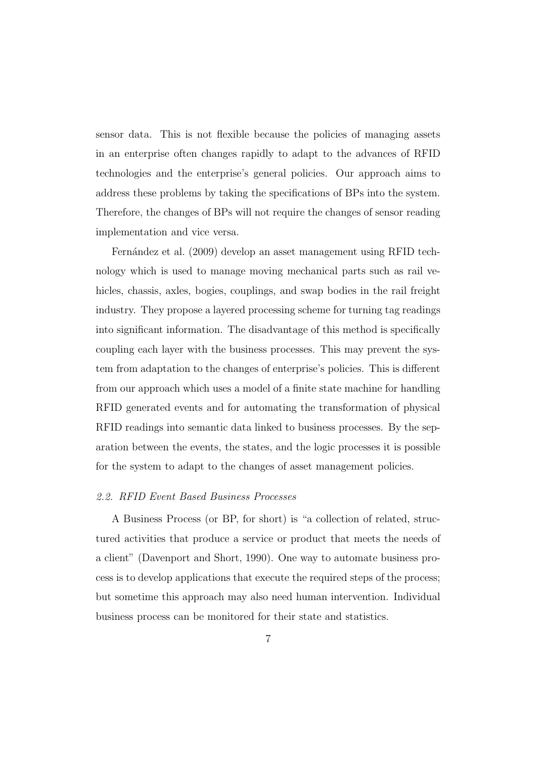sensor data. This is not flexible because the policies of managing assets in an enterprise often changes rapidly to adapt to the advances of RFID technologies and the enterprise's general policies. Our approach aims to address these problems by taking the specifications of BPs into the system. Therefore, the changes of BPs will not require the changes of sensor reading implementation and vice versa.

Fernández et al. (2009) develop an asset management using RFID technology which is used to manage moving mechanical parts such as rail vehicles, chassis, axles, bogies, couplings, and swap bodies in the rail freight industry. They propose a layered processing scheme for turning tag readings into significant information. The disadvantage of this method is specifically coupling each layer with the business processes. This may prevent the system from adaptation to the changes of enterprise's policies. This is different from our approach which uses a model of a finite state machine for handling RFID generated events and for automating the transformation of physical RFID readings into semantic data linked to business processes. By the separation between the events, the states, and the logic processes it is possible for the system to adapt to the changes of asset management policies.

#### *2.2. RFID Event Based Business Processes*

A Business Process (or BP, for short) is "a collection of related, structured activities that produce a service or product that meets the needs of a client" (Davenport and Short, 1990). One way to automate business process is to develop applications that execute the required steps of the process; but sometime this approach may also need human intervention. Individual business process can be monitored for their state and statistics.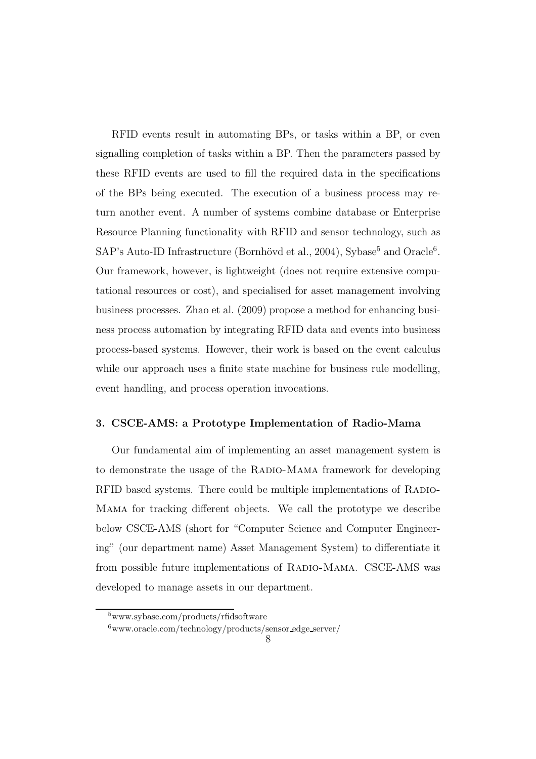RFID events result in automating BPs, or tasks within a BP, or even signalling completion of tasks within a BP. Then the parameters passed by these RFID events are used to fill the required data in the specifications of the BPs being executed. The execution of a business process may return another event. A number of systems combine database or Enterprise Resource Planning functionality with RFID and sensor technology, such as SAP's Auto-ID Infrastructure (Bornhövd et al., 2004), Sybase<sup>5</sup> and Oracle<sup>6</sup>. Our framework, however, is lightweight (does not require extensive computational resources or cost), and specialised for asset management involving business processes. Zhao et al. (2009) propose a method for enhancing business process automation by integrating RFID data and events into business process-based systems. However, their work is based on the event calculus while our approach uses a finite state machine for business rule modelling, event handling, and process operation invocations.

## 3. CSCE-AMS: a Prototype Implementation of Radio-Mama

Our fundamental aim of implementing an asset management system is to demonstrate the usage of the Radio-Mama framework for developing RFID based systems. There could be multiple implementations of RADIO-Mama for tracking different objects. We call the prototype we describe below CSCE-AMS (short for "Computer Science and Computer Engineering" (our department name) Asset Management System) to differentiate it from possible future implementations of RADIO-MAMA. CSCE-AMS was developed to manage assets in our department.

<sup>5</sup>www.sybase.com/products/rfidsoftware

 $6$ www.oracle.com/technology/products/sensor edge server/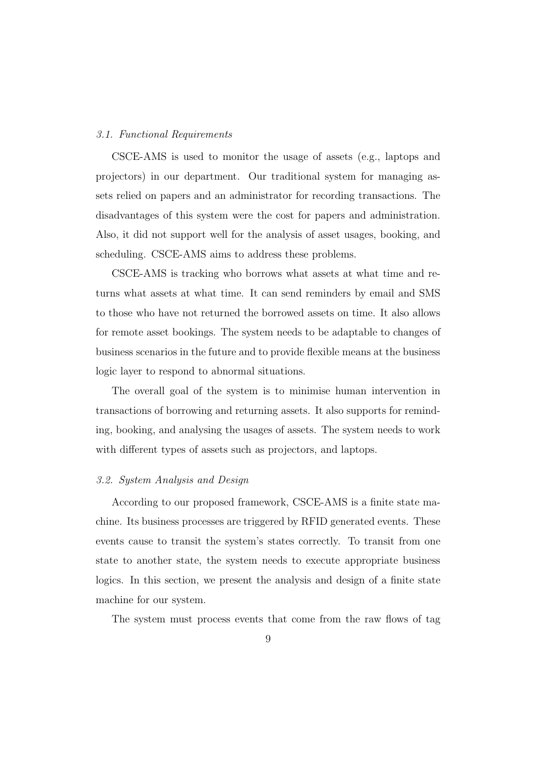#### *3.1. Functional Requirements*

CSCE-AMS is used to monitor the usage of assets (e.g., laptops and projectors) in our department. Our traditional system for managing assets relied on papers and an administrator for recording transactions. The disadvantages of this system were the cost for papers and administration. Also, it did not support well for the analysis of asset usages, booking, and scheduling. CSCE-AMS aims to address these problems.

CSCE-AMS is tracking who borrows what assets at what time and returns what assets at what time. It can send reminders by email and SMS to those who have not returned the borrowed assets on time. It also allows for remote asset bookings. The system needs to be adaptable to changes of business scenarios in the future and to provide flexible means at the business logic layer to respond to abnormal situations.

The overall goal of the system is to minimise human intervention in transactions of borrowing and returning assets. It also supports for reminding, booking, and analysing the usages of assets. The system needs to work with different types of assets such as projectors, and laptops.

#### *3.2. System Analysis and Design*

According to our proposed framework, CSCE-AMS is a finite state machine. Its business processes are triggered by RFID generated events. These events cause to transit the system's states correctly. To transit from one state to another state, the system needs to execute appropriate business logics. In this section, we present the analysis and design of a finite state machine for our system.

The system must process events that come from the raw flows of tag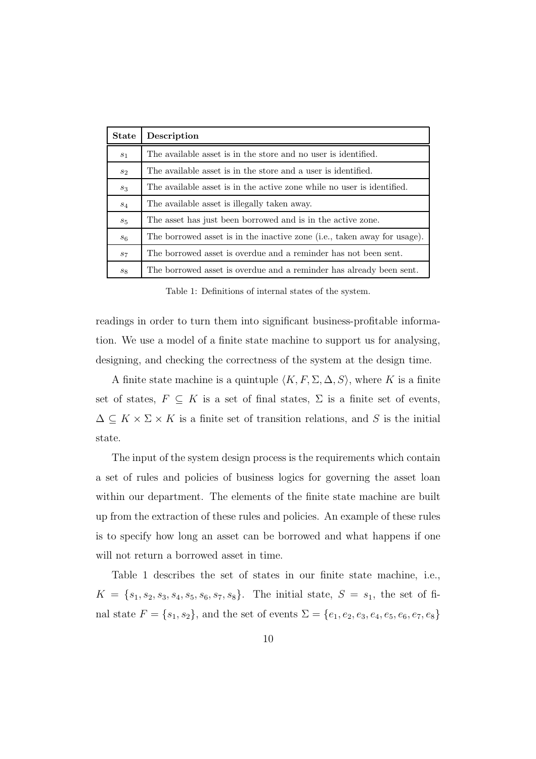| <b>State</b>   | Description                                                              |  |  |  |  |
|----------------|--------------------------------------------------------------------------|--|--|--|--|
| $s_1$          | The available asset is in the store and no user is identified.           |  |  |  |  |
| $s_2$          | The available asset is in the store and a user is identified.            |  |  |  |  |
| $s_3$          | The available asset is in the active zone while no user is identified.   |  |  |  |  |
| $s_4$          | The available asset is illegally taken away.                             |  |  |  |  |
| $s_{5}$        | The asset has just been borrowed and is in the active zone.              |  |  |  |  |
| s <sub>6</sub> | The borrowed asset is in the inactive zone (i.e., taken away for usage). |  |  |  |  |
| $s_7$          | The borrowed asset is overdue and a reminder has not been sent.          |  |  |  |  |
| $s_8$          | The borrowed asset is overdue and a reminder has already been sent.      |  |  |  |  |

Table 1: Definitions of internal states of the system.

readings in order to turn them into significant business-profitable information. We use a model of a finite state machine to support us for analysing, designing, and checking the correctness of the system at the design time.

A finite state machine is a quintuple  $\langle K, F, \Sigma, \Delta, S \rangle$ , where K is a finite set of states,  $F \subseteq K$  is a set of final states,  $\Sigma$  is a finite set of events,  $\Delta \subseteq K \times \Sigma \times K$  is a finite set of transition relations, and S is the initial state.

The input of the system design process is the requirements which contain a set of rules and policies of business logics for governing the asset loan within our department. The elements of the finite state machine are built up from the extraction of these rules and policies. An example of these rules is to specify how long an asset can be borrowed and what happens if one will not return a borrowed asset in time.

Table 1 describes the set of states in our finite state machine, i.e.,  $K = \{s_1, s_2, s_3, s_4, s_5, s_6, s_7, s_8\}.$  The initial state,  $S = s_1$ , the set of final state  $F = \{s_1, s_2\}$ , and the set of events  $\Sigma = \{e_1, e_2, e_3, e_4, e_5, e_6, e_7, e_8\}$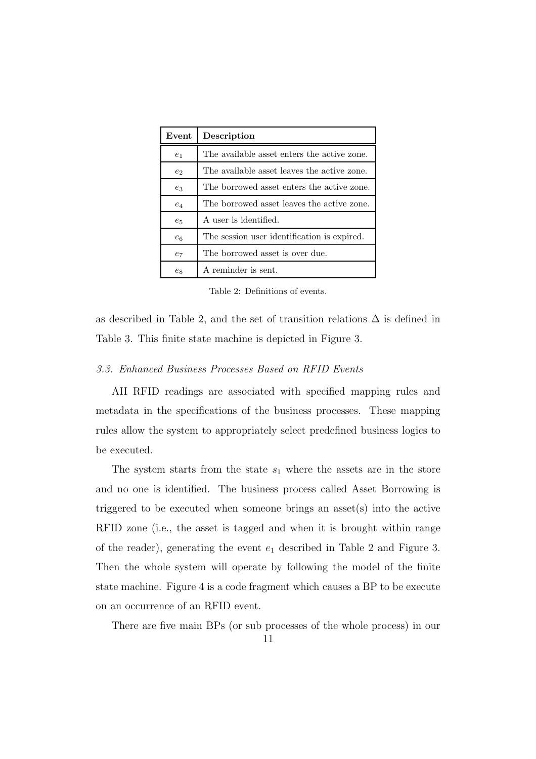| Event                                               | Description                                 |  |  |  |  |
|-----------------------------------------------------|---------------------------------------------|--|--|--|--|
| e <sub>1</sub>                                      | The available asset enters the active zone. |  |  |  |  |
| $e_2$                                               | The available asset leaves the active zone. |  |  |  |  |
| The borrowed asset enters the active zone.<br>$e_3$ |                                             |  |  |  |  |
| $e_4$                                               | The borrowed asset leaves the active zone.  |  |  |  |  |
| $e_5$                                               | A user is identified.                       |  |  |  |  |
| $e_6$                                               | The session user identification is expired. |  |  |  |  |
| $e_7$                                               | The borrowed asset is over due.             |  |  |  |  |
| $e_8$                                               | A reminder is sent.                         |  |  |  |  |

Table 2: Definitions of events.

as described in Table 2, and the set of transition relations  $\Delta$  is defined in Table 3. This finite state machine is depicted in Figure 3.

## *3.3. Enhanced Business Processes Based on RFID Events*

AII RFID readings are associated with specified mapping rules and metadata in the specifications of the business processes. These mapping rules allow the system to appropriately select predefined business logics to be executed.

The system starts from the state  $s_1$  where the assets are in the store and no one is identified. The business process called Asset Borrowing is triggered to be executed when someone brings an asset(s) into the active RFID zone (i.e., the asset is tagged and when it is brought within range of the reader), generating the event  $e_1$  described in Table 2 and Figure 3. Then the whole system will operate by following the model of the finite state machine. Figure 4 is a code fragment which causes a BP to be execute on an occurrence of an RFID event.

There are five main BPs (or sub processes of the whole process) in our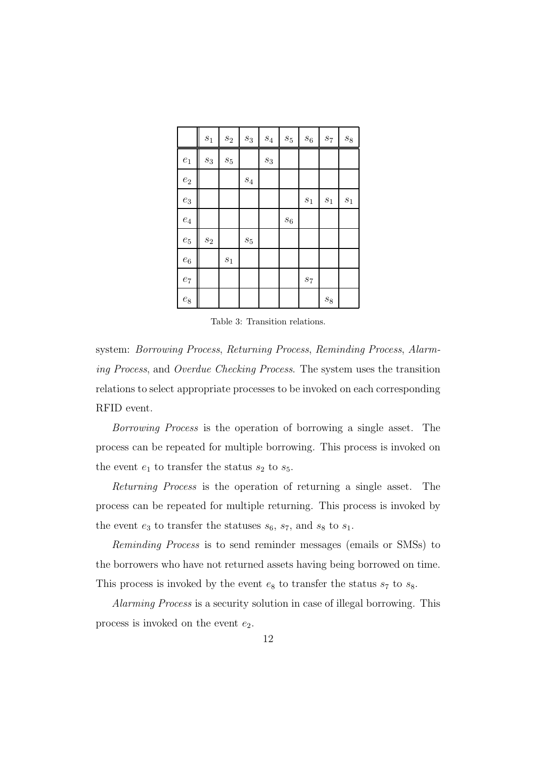|                    | $\sqrt{s_{1}}$   | $\mathfrak{s}_2$ | $\sqrt{s_3}$       | $\mathfrak{s}_4$ | $\sqrt{s_{5}}$     | $\sqrt{s_6}$   | $\mathfrak{s}_7$ | $\mathfrak{s}_8$ |
|--------------------|------------------|------------------|--------------------|------------------|--------------------|----------------|------------------|------------------|
| $\boldsymbol{e}_1$ | $\sqrt{s_3}$     | $\sqrt{s_{5}}$   |                    | $\sqrt{s_3}$     |                    |                |                  |                  |
| $\mathfrak{e}_2$   |                  |                  | $\mathfrak{s}_4$   |                  |                    |                |                  |                  |
| $\boldsymbol{e}_3$ |                  |                  |                    |                  |                    | $\sqrt{s_{1}}$ | $\sqrt{s_1}$     | $s_1$            |
| $\mathfrak{e}_4$   |                  |                  |                    |                  | $\boldsymbol{s}_6$ |                |                  |                  |
| $\boldsymbol{e}_5$ | $\mathfrak{s}_2$ |                  | $\boldsymbol{s}_5$ |                  |                    |                |                  |                  |
| $\boldsymbol{e}_6$ |                  | $\sqrt{s_{1}}$   |                    |                  |                    |                |                  |                  |
| $\ensuremath{e_7}$ |                  |                  |                    |                  |                    | $\sqrt{s_{7}}$ |                  |                  |
| $\mathfrak{e}_8$   |                  |                  |                    |                  |                    |                | $\mathfrak{s}_8$ |                  |

Table 3: Transition relations.

system: *Borrowing Process*, *Returning Process*, *Reminding Process*, *Alarming Process*, and *Overdue Checking Process*. The system uses the transition relations to select appropriate processes to be invoked on each corresponding RFID event.

*Borrowing Process* is the operation of borrowing a single asset. The process can be repeated for multiple borrowing. This process is invoked on the event  $e_1$  to transfer the status  $s_2$  to  $s_5$ .

*Returning Process* is the operation of returning a single asset. The process can be repeated for multiple returning. This process is invoked by the event  $e_3$  to transfer the statuses  $s_6$ ,  $s_7$ , and  $s_8$  to  $s_1$ .

*Reminding Process* is to send reminder messages (emails or SMSs) to the borrowers who have not returned assets having being borrowed on time. This process is invoked by the event  $e_8$  to transfer the status  $s_7$  to  $s_8$ .

*Alarming Process* is a security solution in case of illegal borrowing. This process is invoked on the event  $e_2$ .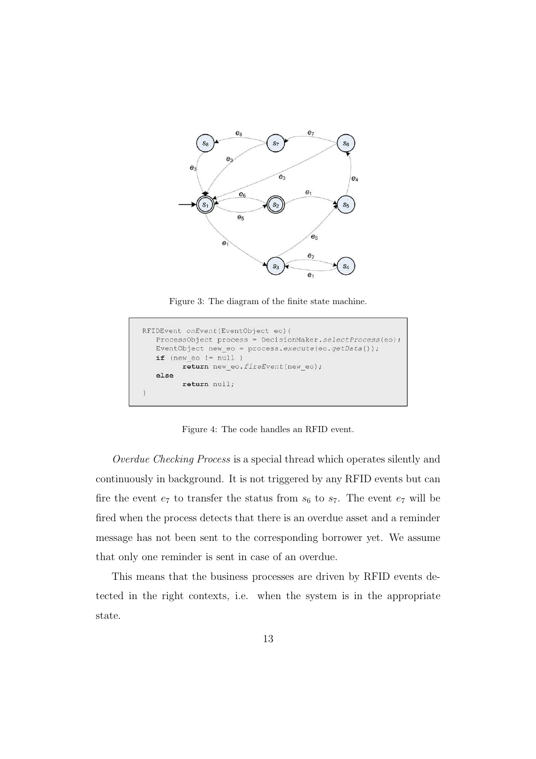

Figure 3: The diagram of the finite state machine.

| RFIDEvent onEvent(EventObject eo) {                       |
|-----------------------------------------------------------|
| ProcessObject process = DecisionMaker.selectProcess(eo);  |
| EventObject new eo = process. execute (eo. $getData()$ ); |
| $if$ (new eo != null )                                    |
| return new eo. fireEvent(new eo);                         |
| else                                                      |
| return null;                                              |
|                                                           |

Figure 4: The code handles an RFID event.

*Overdue Checking Process* is a special thread which operates silently and continuously in background. It is not triggered by any RFID events but can fire the event  $e_7$  to transfer the status from  $s_6$  to  $s_7$ . The event  $e_7$  will be fired when the process detects that there is an overdue asset and a reminder message has not been sent to the corresponding borrower yet. We assume that only one reminder is sent in case of an overdue.

This means that the business processes are driven by RFID events detected in the right contexts, i.e. when the system is in the appropriate state.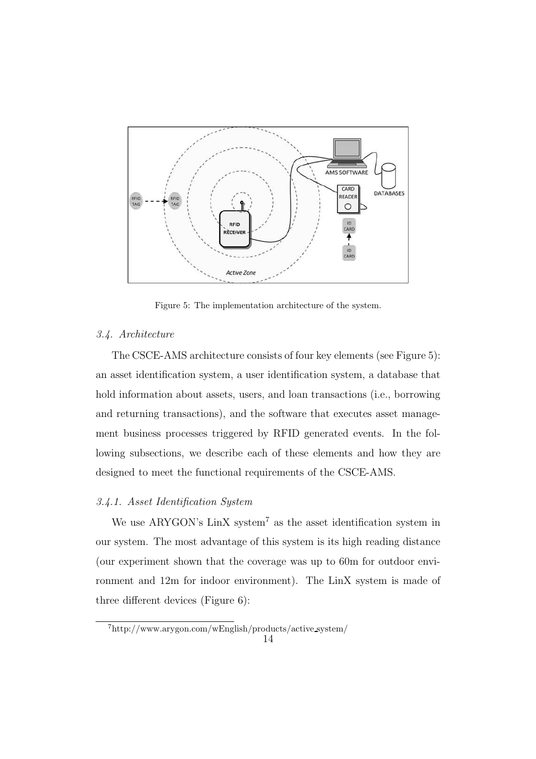

Figure 5: The implementation architecture of the system.

#### *3.4. Architecture*

The CSCE-AMS architecture consists of four key elements (see Figure 5): an asset identification system, a user identification system, a database that hold information about assets, users, and loan transactions (i.e., borrowing and returning transactions), and the software that executes asset management business processes triggered by RFID generated events. In the following subsections, we describe each of these elements and how they are designed to meet the functional requirements of the CSCE-AMS.

## *3.4.1. Asset Identification System*

We use ARYGON's  $\text{LinX}$  system<sup>7</sup> as the asset identification system in our system. The most advantage of this system is its high reading distance (our experiment shown that the coverage was up to 60m for outdoor environment and 12m for indoor environment). The LinX system is made of three different devices (Figure 6):

<sup>7</sup>http://www.arygon.com/wEnglish/products/active system/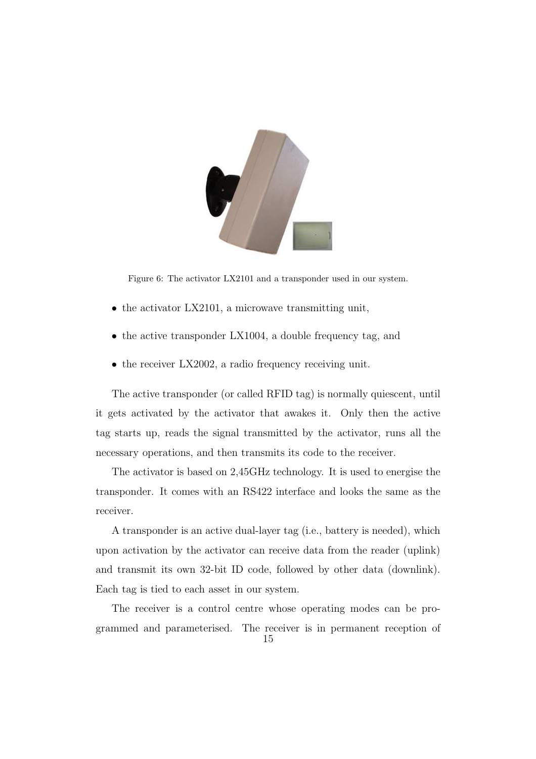

Figure 6: The activator LX2101 and a transponder used in our system.

- the activator LX2101, a microwave transmitting unit,
- the active transponder LX1004, a double frequency tag, and
- the receiver LX2002, a radio frequency receiving unit.

The active transponder (or called RFID tag) is normally quiescent, until it gets activated by the activator that awakes it. Only then the active tag starts up, reads the signal transmitted by the activator, runs all the necessary operations, and then transmits its code to the receiver.

The activator is based on 2,45GHz technology. It is used to energise the transponder. It comes with an RS422 interface and looks the same as the receiver.

A transponder is an active dual-layer tag (i.e., battery is needed), which upon activation by the activator can receive data from the reader (uplink) and transmit its own 32-bit ID code, followed by other data (downlink). Each tag is tied to each asset in our system.

The receiver is a control centre whose operating modes can be programmed and parameterised. The receiver is in permanent reception of 15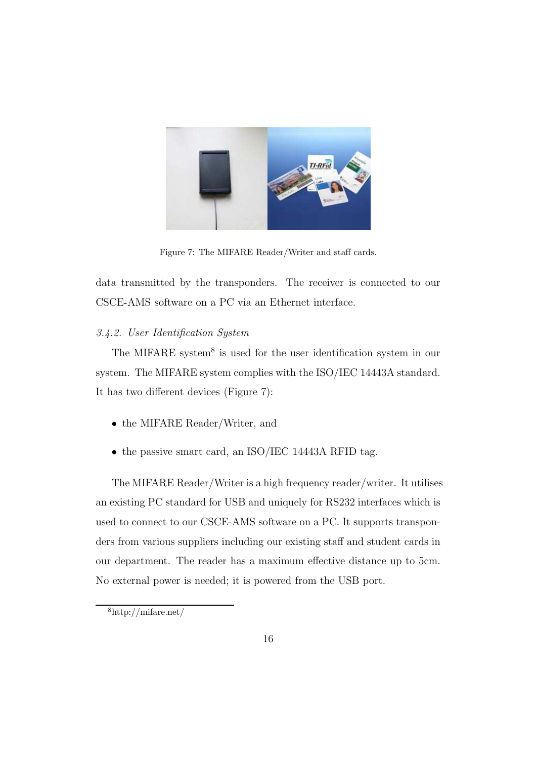

Figure 7: The MIFARE Reader/Writer and staff cards.

data transmitted by the transponders. The receiver is connected to our CSCE-AMS software on a PC via an Ethernet interface.

## *3.4.2. User Identification System*

The MIFARE system<sup>8</sup> is used for the user identification system in our system. The MIFARE system complies with the ISO/IEC 14443A standard. It has two different devices (Figure 7):

- the MIFARE Reader/Writer, and
- the passive smart card, an ISO/IEC 14443A RFID tag.

The MIFARE Reader/Writer is a high frequency reader/writer. It utilises an existing PC standard for USB and uniquely for RS232 interfaces which is used to connect to our CSCE-AMS software on a PC. It supports transponders from various suppliers including our existing staff and student cards in our department. The reader has a maximum effective distance up to 5cm. No external power is needed; it is powered from the USB port.

<sup>8</sup>http://mifare.net/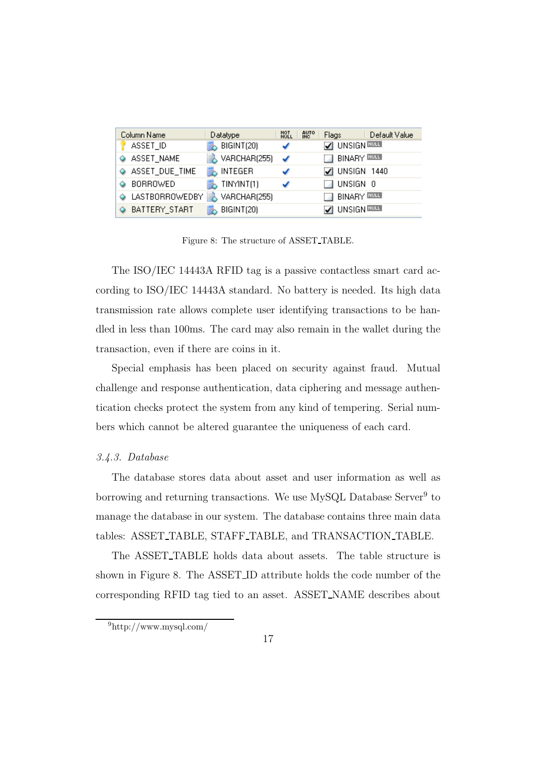| Column Name      | Datatype               | <b>AUTO</b><br>NOT<br>NULL | Default Value<br>Flags          |
|------------------|------------------------|----------------------------|---------------------------------|
| ASSET_ID         | BIGINT(20)             |                            | V UNSIGN RULL                   |
| ASSET_NAME       | $\bigcup$ VARCHAR(255) | ✓                          | <b>BINARY</b>                   |
| ASSET_DUE_TIME   | <b>MINTEGER</b>        |                            | $\Box$ UNSIGN 1440              |
| BORROWED         | TINYINT(1)             |                            | $\Box$ unsign $\Box$            |
| A LASTBORROWEDBY | VARCHAR(255)           |                            | $\exists$ binary $\overline{m}$ |
| BATTERY_START    | BIGINT(20)             |                            | V UNSIGN NULL                   |

Figure 8: The structure of ASSET TABLE.

The ISO/IEC 14443A RFID tag is a passive contactless smart card according to ISO/IEC 14443A standard. No battery is needed. Its high data transmission rate allows complete user identifying transactions to be handled in less than 100ms. The card may also remain in the wallet during the transaction, even if there are coins in it.

Special emphasis has been placed on security against fraud. Mutual challenge and response authentication, data ciphering and message authentication checks protect the system from any kind of tempering. Serial numbers which cannot be altered guarantee the uniqueness of each card.

#### *3.4.3. Database*

The database stores data about asset and user information as well as borrowing and returning transactions. We use MySQL Database Server<sup>9</sup> to manage the database in our system. The database contains three main data tables: ASSET TABLE, STAFF TABLE, and TRANSACTION TABLE.

The ASSET TABLE holds data about assets. The table structure is shown in Figure 8. The ASSET ID attribute holds the code number of the corresponding RFID tag tied to an asset. ASSET NAME describes about

<sup>9</sup>http://www.mysql.com/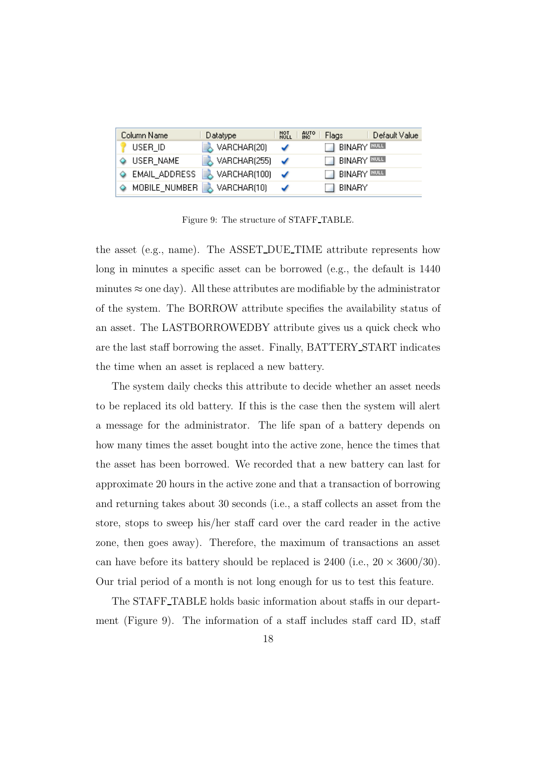| Column Name          | Datatype                               | <b>RUTO</b><br>NOT<br>NULL | Default Value<br>Flags |
|----------------------|----------------------------------------|----------------------------|------------------------|
| USER_ID              | $\rightarrow$ VARCHAR(20)              | ✔                          | <b>BINARY</b> EULE     |
| $\Diamond$ USER_NAME | $\downarrow$ VARCHAR(255) $\checkmark$ |                            | $\Box$ BINARY BULL     |
| EMAIL_ADDRESS        | $\lambda$ VARCHAR(100) $\checkmark$    |                            | <b>BINARY</b> BULL     |
| A MOBILE_NUMBER      | , VARCHAR(10)                          |                            | 1 BINARY               |

Figure 9: The structure of STAFF TABLE.

the asset (e.g., name). The ASSET DUE TIME attribute represents how long in minutes a specific asset can be borrowed (e.g., the default is 1440 minutes  $\approx$  one day). All these attributes are modifiable by the administrator of the system. The BORROW attribute specifies the availability status of an asset. The LASTBORROWEDBY attribute gives us a quick check who are the last staff borrowing the asset. Finally, BATTERY START indicates the time when an asset is replaced a new battery.

The system daily checks this attribute to decide whether an asset needs to be replaced its old battery. If this is the case then the system will alert a message for the administrator. The life span of a battery depends on how many times the asset bought into the active zone, hence the times that the asset has been borrowed. We recorded that a new battery can last for approximate 20 hours in the active zone and that a transaction of borrowing and returning takes about 30 seconds (i.e., a staff collects an asset from the store, stops to sweep his/her staff card over the card reader in the active zone, then goes away). Therefore, the maximum of transactions an asset can have before its battery should be replaced is  $2400$  (i.e.,  $20 \times 3600/30$ ). Our trial period of a month is not long enough for us to test this feature.

The STAFF TABLE holds basic information about staffs in our department (Figure 9). The information of a staff includes staff card ID, staff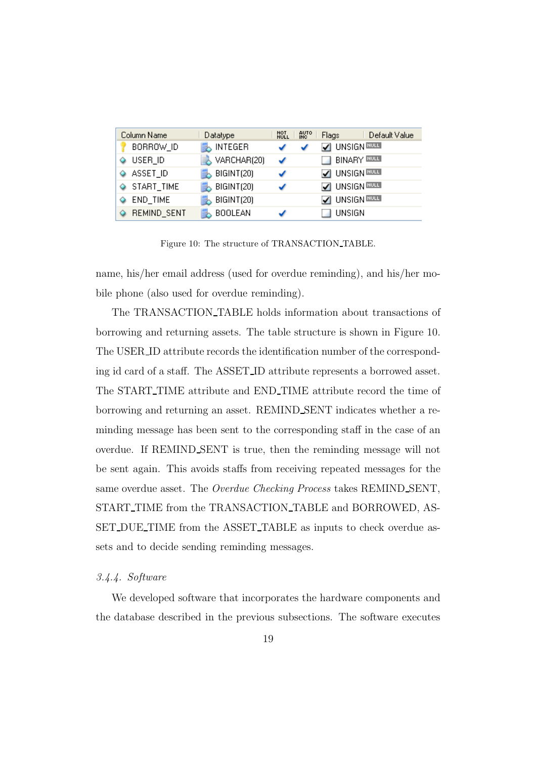| Column Name           | Datatype                  | NOT<br>NULL | <b>AUTO</b> | Flags              | Default Value |
|-----------------------|---------------------------|-------------|-------------|--------------------|---------------|
| BORROW_ID             | $\rightarrow$ INTEGER     |             |             | O UNSIGN RULL      |               |
| USER_ID<br>٥          | $\rightarrow$ VARCHAR(20) | ✓           |             | $\Box$ BINARY RULE |               |
| ♦ ASSET_ID            | $\rightarrow$ BIGINT(20)  |             |             | V UNSIGN NULL      |               |
| $\Diamond$ START_TIME | $\rightarrow$ BIGINT(20)  |             |             | UNSIGN <b>RULL</b> |               |
| END_TIME<br>Q         | BIGINT(20)                |             |             | UNSIGN NULL        |               |
| REMIND_SENT           | <b>BOOLEAN</b>            |             |             | UNSIGN             |               |

Figure 10: The structure of TRANSACTION\_TABLE.

name, his/her email address (used for overdue reminding), and his/her mobile phone (also used for overdue reminding).

The TRANSACTION TABLE holds information about transactions of borrowing and returning assets. The table structure is shown in Figure 10. The USER ID attribute records the identification number of the corresponding id card of a staff. The ASSET ID attribute represents a borrowed asset. The START TIME attribute and END TIME attribute record the time of borrowing and returning an asset. REMIND SENT indicates whether a reminding message has been sent to the corresponding staff in the case of an overdue. If REMIND SENT is true, then the reminding message will not be sent again. This avoids staffs from receiving repeated messages for the same overdue asset. The *Overdue Checking Process* takes REMIND SENT, START TIME from the TRANSACTION TABLE and BORROWED, AS-SET DUE TIME from the ASSET TABLE as inputs to check overdue assets and to decide sending reminding messages.

## *3.4.4. Software*

We developed software that incorporates the hardware components and the database described in the previous subsections. The software executes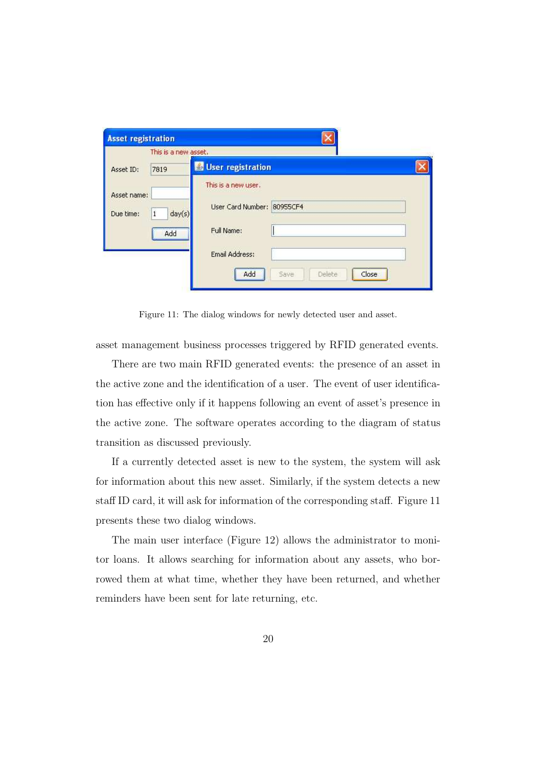| <b>Asset registration</b>                      |                                                                                                                     |  |
|------------------------------------------------|---------------------------------------------------------------------------------------------------------------------|--|
| This is a new asset.                           |                                                                                                                     |  |
| 7819<br>Asset ID:                              | User registration                                                                                                   |  |
| Asset name:<br>day(s)<br>Due time:<br>1<br>Add | This is a new user.<br>User Card Number: 80955CF4<br>Full Name:<br>Email Address:<br>Add<br>Close<br>Delete<br>Save |  |

Figure 11: The dialog windows for newly detected user and asset.

asset management business processes triggered by RFID generated events.

There are two main RFID generated events: the presence of an asset in the active zone and the identification of a user. The event of user identification has effective only if it happens following an event of asset's presence in the active zone. The software operates according to the diagram of status transition as discussed previously.

If a currently detected asset is new to the system, the system will ask for information about this new asset. Similarly, if the system detects a new staff ID card, it will ask for information of the corresponding staff. Figure 11 presents these two dialog windows.

The main user interface (Figure 12) allows the administrator to monitor loans. It allows searching for information about any assets, who borrowed them at what time, whether they have been returned, and whether reminders have been sent for late returning, etc.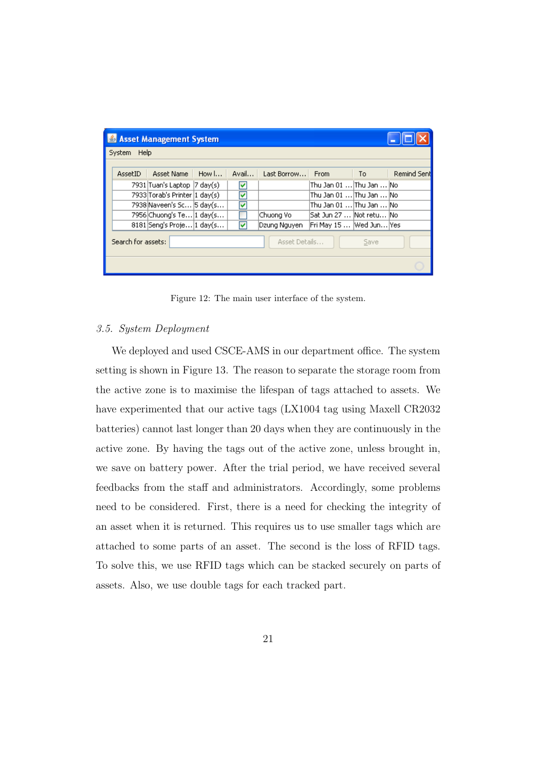| Asset Management System                     |                                |       |       |                  |                              |      |             |  |  |
|---------------------------------------------|--------------------------------|-------|-------|------------------|------------------------------|------|-------------|--|--|
| Help<br>System                              |                                |       |       |                  |                              |      |             |  |  |
|                                             |                                |       |       |                  |                              |      |             |  |  |
| AssetID                                     | Asset Name                     | How I | Avail | Last Borrow From |                              | To a | Remind Sent |  |  |
|                                             | 7931 Tuan's Laptop  7 day(s)   |       | M     |                  | Thu Jan 01 …lThu Jan …lNo.   |      |             |  |  |
|                                             | 7933 Torab's Printer  1 day(s) |       | ▽     |                  | IThu Jan 01 IThu Jan INo.    |      |             |  |  |
|                                             | 7938 Naveen's Sc 5 day(s       |       | ▽     |                  | IThu Jan 01 …IThu Jan …INo . |      |             |  |  |
|                                             | 7956 Chuong's Te 1 day(s       |       |       | Chuong Vo        | Sat Jun 27 …  Not retu…  No  |      |             |  |  |
|                                             | 8181 Seng's Proje 1 day(s      |       | M     | Dzung Nguyen     | Fri May 15   Wed Jun Yes     |      |             |  |  |
| Search for assets:<br>Asset Details<br>Save |                                |       |       |                  |                              |      |             |  |  |
|                                             |                                |       |       |                  |                              |      |             |  |  |

Figure 12: The main user interface of the system.

#### *3.5. System Deployment*

We deployed and used CSCE-AMS in our department office. The system setting is shown in Figure 13. The reason to separate the storage room from the active zone is to maximise the lifespan of tags attached to assets. We have experimented that our active tags (LX1004 tag using Maxell CR2032 batteries) cannot last longer than 20 days when they are continuously in the active zone. By having the tags out of the active zone, unless brought in, we save on battery power. After the trial period, we have received several feedbacks from the staff and administrators. Accordingly, some problems need to be considered. First, there is a need for checking the integrity of an asset when it is returned. This requires us to use smaller tags which are attached to some parts of an asset. The second is the loss of RFID tags. To solve this, we use RFID tags which can be stacked securely on parts of assets. Also, we use double tags for each tracked part.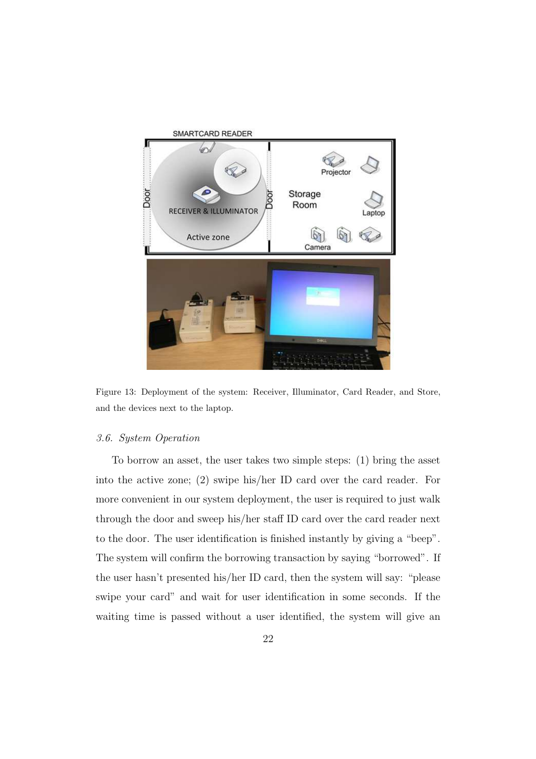

Figure 13: Deployment of the system: Receiver, Illuminator, Card Reader, and Store, and the devices next to the laptop.

## *3.6. System Operation*

To borrow an asset, the user takes two simple steps: (1) bring the asset into the active zone; (2) swipe his/her ID card over the card reader. For more convenient in our system deployment, the user is required to just walk through the door and sweep his/her staff ID card over the card reader next to the door. The user identification is finished instantly by giving a "beep". The system will confirm the borrowing transaction by saying "borrowed". If the user hasn't presented his/her ID card, then the system will say: "please swipe your card" and wait for user identification in some seconds. If the waiting time is passed without a user identified, the system will give an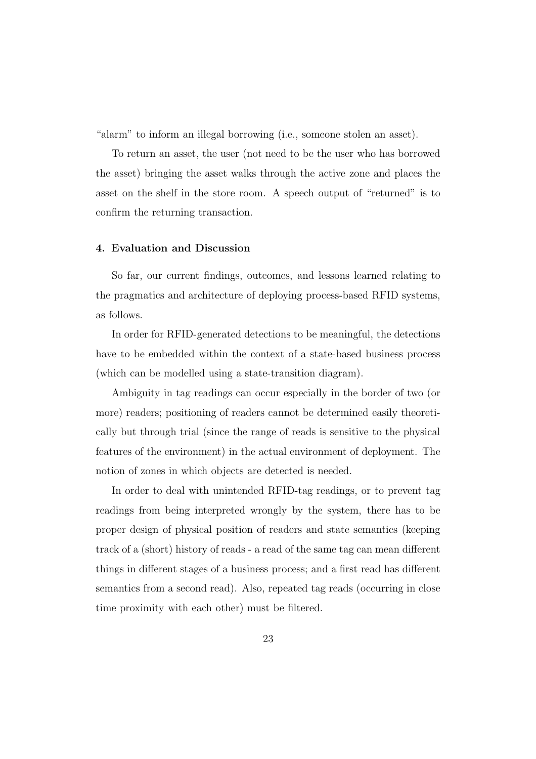"alarm" to inform an illegal borrowing (i.e., someone stolen an asset).

To return an asset, the user (not need to be the user who has borrowed the asset) bringing the asset walks through the active zone and places the asset on the shelf in the store room. A speech output of "returned" is to confirm the returning transaction.

#### 4. Evaluation and Discussion

So far, our current findings, outcomes, and lessons learned relating to the pragmatics and architecture of deploying process-based RFID systems, as follows.

In order for RFID-generated detections to be meaningful, the detections have to be embedded within the context of a state-based business process (which can be modelled using a state-transition diagram).

Ambiguity in tag readings can occur especially in the border of two (or more) readers; positioning of readers cannot be determined easily theoretically but through trial (since the range of reads is sensitive to the physical features of the environment) in the actual environment of deployment. The notion of zones in which objects are detected is needed.

In order to deal with unintended RFID-tag readings, or to prevent tag readings from being interpreted wrongly by the system, there has to be proper design of physical position of readers and state semantics (keeping track of a (short) history of reads - a read of the same tag can mean different things in different stages of a business process; and a first read has different semantics from a second read). Also, repeated tag reads (occurring in close time proximity with each other) must be filtered.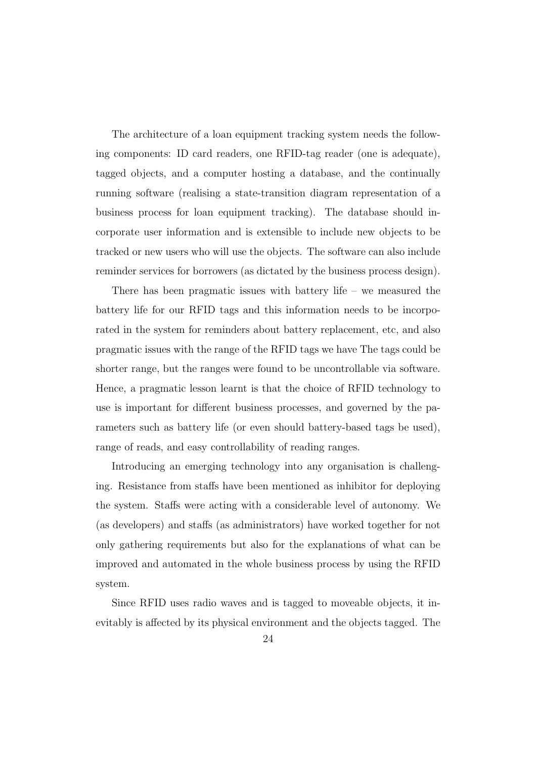The architecture of a loan equipment tracking system needs the following components: ID card readers, one RFID-tag reader (one is adequate), tagged objects, and a computer hosting a database, and the continually running software (realising a state-transition diagram representation of a business process for loan equipment tracking). The database should incorporate user information and is extensible to include new objects to be tracked or new users who will use the objects. The software can also include reminder services for borrowers (as dictated by the business process design).

There has been pragmatic issues with battery life – we measured the battery life for our RFID tags and this information needs to be incorporated in the system for reminders about battery replacement, etc, and also pragmatic issues with the range of the RFID tags we have The tags could be shorter range, but the ranges were found to be uncontrollable via software. Hence, a pragmatic lesson learnt is that the choice of RFID technology to use is important for different business processes, and governed by the parameters such as battery life (or even should battery-based tags be used), range of reads, and easy controllability of reading ranges.

Introducing an emerging technology into any organisation is challenging. Resistance from staffs have been mentioned as inhibitor for deploying the system. Staffs were acting with a considerable level of autonomy. We (as developers) and staffs (as administrators) have worked together for not only gathering requirements but also for the explanations of what can be improved and automated in the whole business process by using the RFID system.

Since RFID uses radio waves and is tagged to moveable objects, it inevitably is affected by its physical environment and the objects tagged. The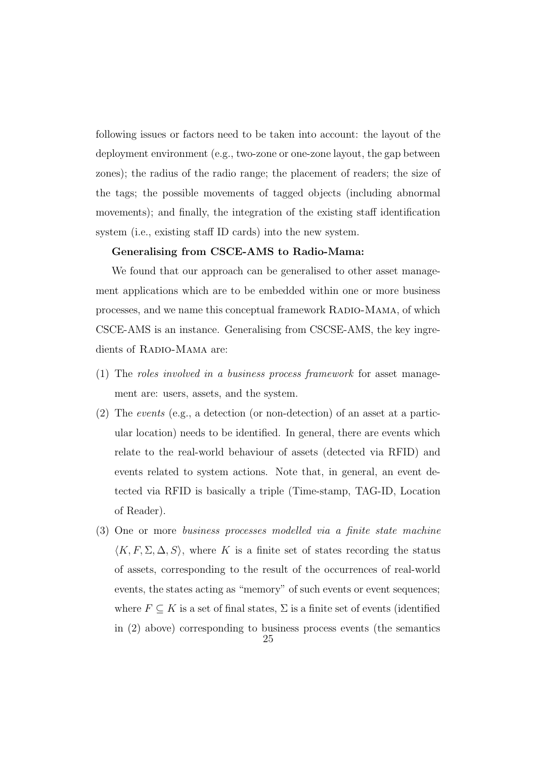following issues or factors need to be taken into account: the layout of the deployment environment (e.g., two-zone or one-zone layout, the gap between zones); the radius of the radio range; the placement of readers; the size of the tags; the possible movements of tagged objects (including abnormal movements); and finally, the integration of the existing staff identification system (i.e., existing staff ID cards) into the new system.

#### Generalising from CSCE-AMS to Radio-Mama:

We found that our approach can be generalised to other asset management applications which are to be embedded within one or more business processes, and we name this conceptual framework Radio-Mama, of which CSCE-AMS is an instance. Generalising from CSCSE-AMS, the key ingredients of RADIO-MAMA are:

- (1) The *roles involved in a business process framework* for asset management are: users, assets, and the system.
- (2) The *events* (e.g., a detection (or non-detection) of an asset at a particular location) needs to be identified. In general, there are events which relate to the real-world behaviour of assets (detected via RFID) and events related to system actions. Note that, in general, an event detected via RFID is basically a triple (Time-stamp, TAG-ID, Location of Reader).
- (3) One or more *business processes modelled via a finite state machine*  $\langle K, F, \Sigma, \Delta, S \rangle$ , where K is a finite set of states recording the status of assets, corresponding to the result of the occurrences of real-world events, the states acting as "memory" of such events or event sequences; where  $F \subseteq K$  is a set of final states,  $\Sigma$  is a finite set of events (identified in (2) above) corresponding to business process events (the semantics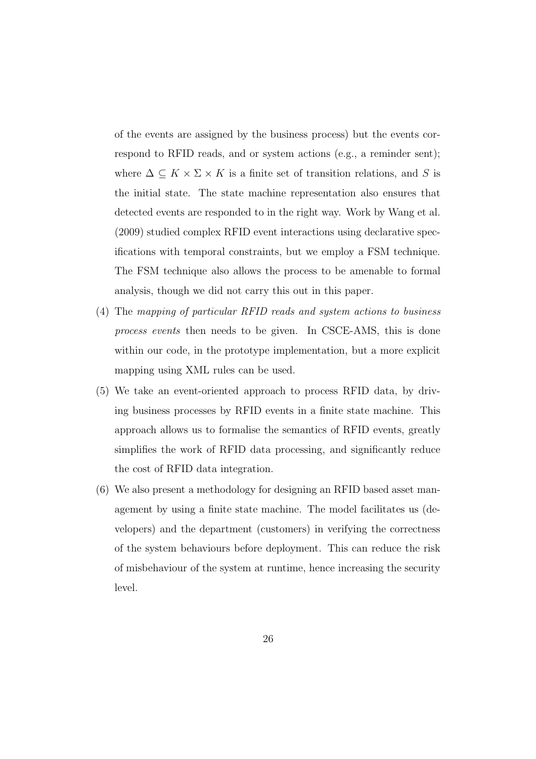of the events are assigned by the business process) but the events correspond to RFID reads, and or system actions (e.g., a reminder sent); where  $\Delta \subseteq K \times \Sigma \times K$  is a finite set of transition relations, and S is the initial state. The state machine representation also ensures that detected events are responded to in the right way. Work by Wang et al. (2009) studied complex RFID event interactions using declarative specifications with temporal constraints, but we employ a FSM technique. The FSM technique also allows the process to be amenable to formal analysis, though we did not carry this out in this paper.

- (4) The *mapping of particular RFID reads and system actions to business process events* then needs to be given. In CSCE-AMS, this is done within our code, in the prototype implementation, but a more explicit mapping using XML rules can be used.
- (5) We take an event-oriented approach to process RFID data, by driving business processes by RFID events in a finite state machine. This approach allows us to formalise the semantics of RFID events, greatly simplifies the work of RFID data processing, and significantly reduce the cost of RFID data integration.
- (6) We also present a methodology for designing an RFID based asset management by using a finite state machine. The model facilitates us (developers) and the department (customers) in verifying the correctness of the system behaviours before deployment. This can reduce the risk of misbehaviour of the system at runtime, hence increasing the security level.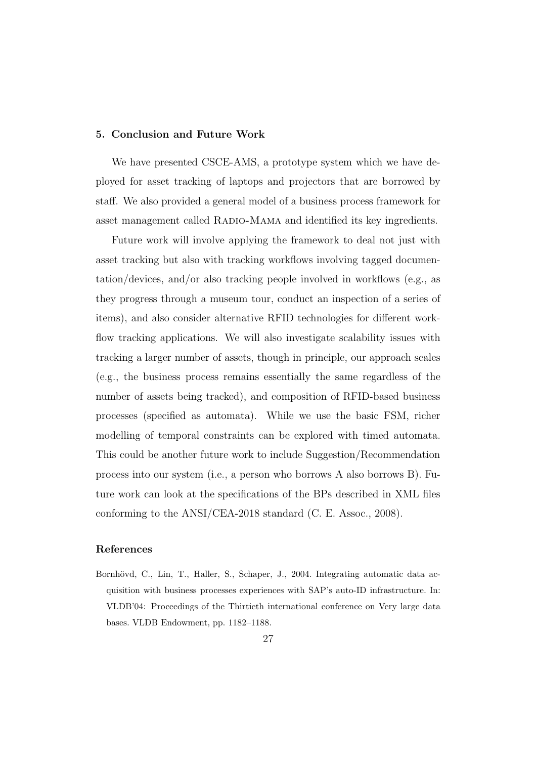### 5. Conclusion and Future Work

We have presented CSCE-AMS, a prototype system which we have deployed for asset tracking of laptops and projectors that are borrowed by staff. We also provided a general model of a business process framework for asset management called RADIO-MAMA and identified its key ingredients.

Future work will involve applying the framework to deal not just with asset tracking but also with tracking workflows involving tagged documentation/devices, and/or also tracking people involved in workflows (e.g., as they progress through a museum tour, conduct an inspection of a series of items), and also consider alternative RFID technologies for different workflow tracking applications. We will also investigate scalability issues with tracking a larger number of assets, though in principle, our approach scales (e.g., the business process remains essentially the same regardless of the number of assets being tracked), and composition of RFID-based business processes (specified as automata). While we use the basic FSM, richer modelling of temporal constraints can be explored with timed automata. This could be another future work to include Suggestion/Recommendation process into our system (i.e., a person who borrows A also borrows B). Future work can look at the specifications of the BPs described in XML files conforming to the ANSI/CEA-2018 standard (C. E. Assoc., 2008).

#### References

Bornhövd, C., Lin, T., Haller, S., Schaper, J., 2004. Integrating automatic data acquisition with business processes experiences with SAP's auto-ID infrastructure. In: VLDB'04: Proceedings of the Thirtieth international conference on Very large data bases. VLDB Endowment, pp. 1182–1188.